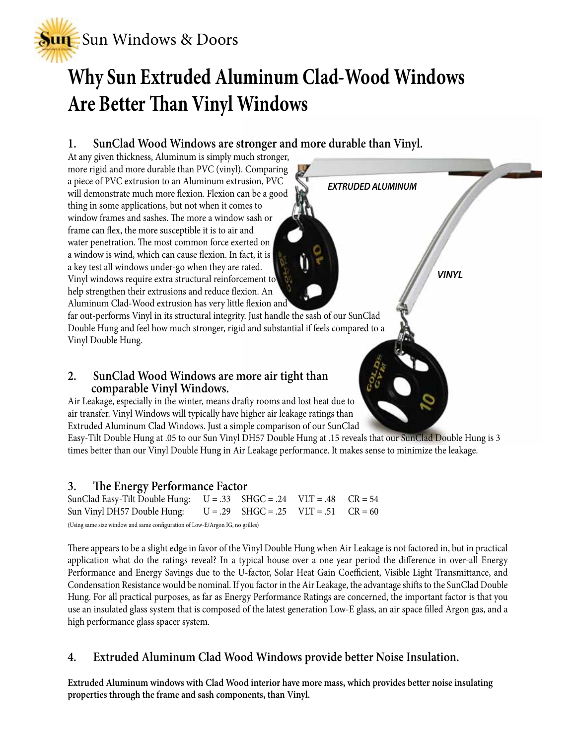

# **Why Sun Extruded Aluminum Clad-Wood Windows Are Better Than Vinyl Windows**

*EXTRUDED ALUMINUM*

*VINYL*

### **1. SunClad Wood Windows are stronger and more durable than Vinyl.**

At any given thickness, Aluminum is simply much stronger, more rigid and more durable than PVC (vinyl). Comparing a piece of PVC extrusion to an Aluminum extrusion, PVC will demonstrate much more flexion. Flexion can be a good thing in some applications, but not when it comes to window frames and sashes. The more a window sash or frame can flex, the more susceptible it is to air and water penetration. The most common force exerted on a window is wind, which can cause flexion. In fact, it is a key test all windows under-go when they are rated. Vinyl windows require extra structural reinforcement to help strengthen their extrusions and reduce flexion. An Aluminum Clad-Wood extrusion has very little flexion and

far out-performs Vinyl in its structural integrity. Just handle the sash of our SunClad Double Hung and feel how much stronger, rigid and substantial if feels compared to a Vinyl Double Hung.

# **2. SunClad Wood Windows are more air tight than comparable Vinyl Windows.**

Air Leakage, especially in the winter, means drafty rooms and lost heat due to air transfer. Vinyl Windows will typically have higher air leakage ratings than Extruded Aluminum Clad Windows. Just a simple comparison of our SunClad

Easy-Tilt Double Hung at .05 to our Sun Vinyl DH57 Double Hung at .15 reveals that our SunClad Double Hung is 3 times better than our Vinyl Double Hung in Air Leakage performance. It makes sense to minimize the leakage.

#### **3. The Energy Performance Factor**

SunClad Easy-Tilt Double Hung:  $U = .33$  SHGC = .24 VLT = .48 CR = 54 Sun Vinyl DH57 Double Hung:  $U = .29$  SHGC = .25 VLT = .51 CR = 60 (Using same size window and same configuration of Low-E/Argon IG, no grilles)

There appears to be a slight edge in favor of the Vinyl Double Hung when Air Leakage is not factored in, but in practical application what do the ratings reveal? In a typical house over a one year period the difference in over-all Energy Performance and Energy Savings due to the U-factor, Solar Heat Gain Coefficient, Visible Light Transmittance, and Condensation Resistance would be nominal. If you factor in the Air Leakage, the advantage shifts to the SunClad Double Hung. For all practical purposes, as far as Energy Performance Ratings are concerned, the important factor is that you use an insulated glass system that is composed of the latest generation Low-E glass, an air space filled Argon gas, and a high performance glass spacer system.

#### **4. Extruded Aluminum Clad Wood Windows provide better Noise Insulation.**

**Extruded Aluminum windows with Clad Wood interior have more mass, which provides better noise insulating properties through the frame and sash components, than Vinyl.**